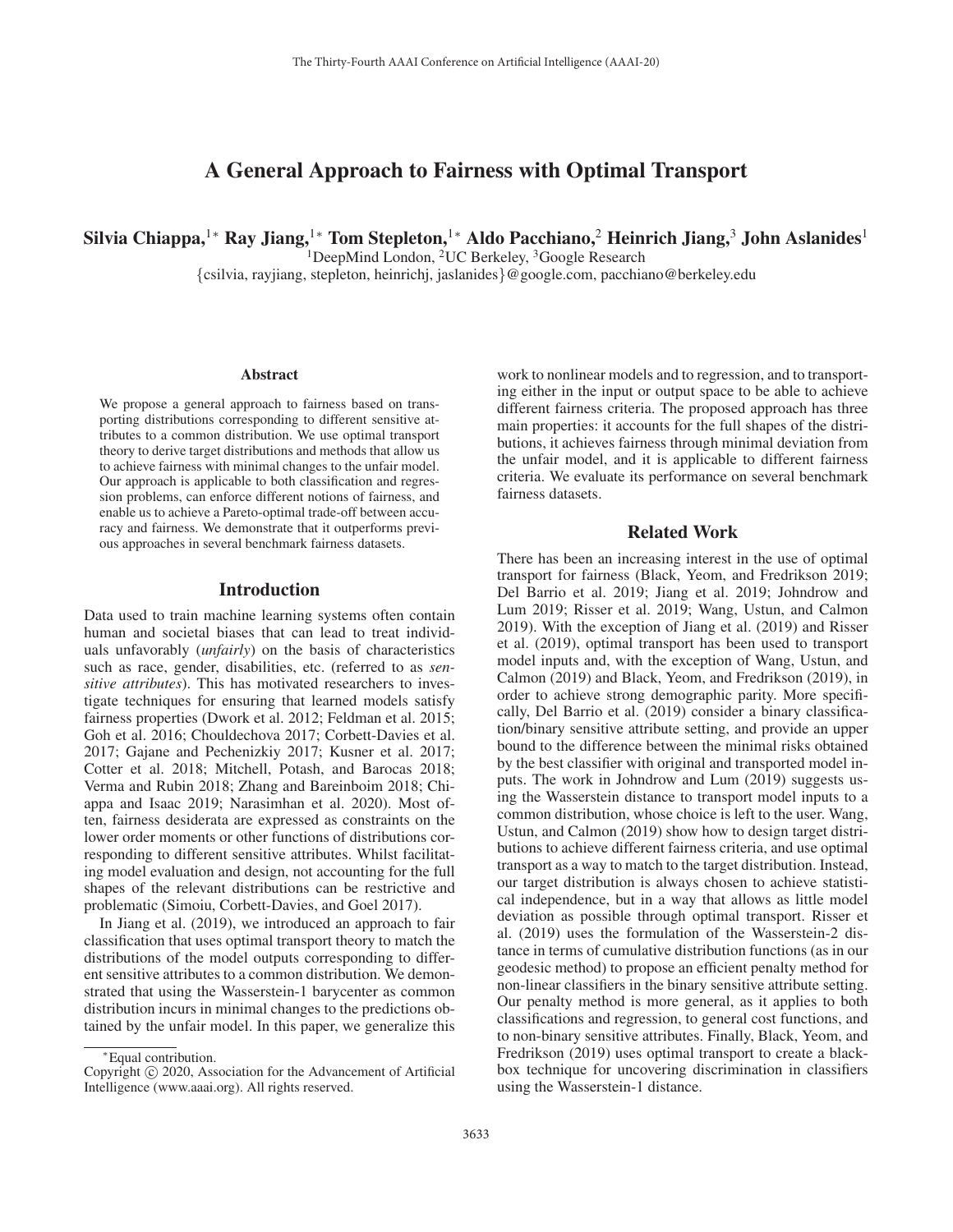# A General Approach to Fairness with Optimal Transport

Silvia Chiappa, $^{1*}$  Ray Jiang, $^{1*}$  Tom Stepleton, $^{1*}$  Aldo Pacchiano, $^2$  Heinrich Jiang, $^3$  John Aslanides $^1$ 

<sup>1</sup>DeepMind London, <sup>2</sup>UC Berkeley, <sup>3</sup>Google Research

{csilvia, rayjiang, stepleton, heinrichj, jaslanides}@google.com, pacchiano@berkeley.edu

#### Abstract

We propose a general approach to fairness based on transporting distributions corresponding to different sensitive attributes to a common distribution. We use optimal transport theory to derive target distributions and methods that allow us to achieve fairness with minimal changes to the unfair model. Our approach is applicable to both classification and regression problems, can enforce different notions of fairness, and enable us to achieve a Pareto-optimal trade-off between accuracy and fairness. We demonstrate that it outperforms previous approaches in several benchmark fairness datasets.

#### Introduction

Data used to train machine learning systems often contain human and societal biases that can lead to treat individuals unfavorably (*unfairly*) on the basis of characteristics such as race, gender, disabilities, etc. (referred to as *sensitive attributes*). This has motivated researchers to investigate techniques for ensuring that learned models satisfy fairness properties (Dwork et al. 2012; Feldman et al. 2015; Goh et al. 2016; Chouldechova 2017; Corbett-Davies et al. 2017; Gajane and Pechenizkiy 2017; Kusner et al. 2017; Cotter et al. 2018; Mitchell, Potash, and Barocas 2018; Verma and Rubin 2018; Zhang and Bareinboim 2018; Chiappa and Isaac 2019; Narasimhan et al. 2020). Most often, fairness desiderata are expressed as constraints on the lower order moments or other functions of distributions corresponding to different sensitive attributes. Whilst facilitating model evaluation and design, not accounting for the full shapes of the relevant distributions can be restrictive and problematic (Simoiu, Corbett-Davies, and Goel 2017).

In Jiang et al. (2019), we introduced an approach to fair classification that uses optimal transport theory to match the distributions of the model outputs corresponding to different sensitive attributes to a common distribution. We demonstrated that using the Wasserstein-1 barycenter as common distribution incurs in minimal changes to the predictions obtained by the unfair model. In this paper, we generalize this

work to nonlinear models and to regression, and to transporting either in the input or output space to be able to achieve different fairness criteria. The proposed approach has three main properties: it accounts for the full shapes of the distributions, it achieves fairness through minimal deviation from the unfair model, and it is applicable to different fairness criteria. We evaluate its performance on several benchmark fairness datasets.

## Related Work

There has been an increasing interest in the use of optimal transport for fairness (Black, Yeom, and Fredrikson 2019; Del Barrio et al. 2019; Jiang et al. 2019; Johndrow and Lum 2019; Risser et al. 2019; Wang, Ustun, and Calmon 2019). With the exception of Jiang et al. (2019) and Risser et al. (2019), optimal transport has been used to transport model inputs and, with the exception of Wang, Ustun, and Calmon (2019) and Black, Yeom, and Fredrikson (2019), in order to achieve strong demographic parity. More specifically, Del Barrio et al. (2019) consider a binary classification/binary sensitive attribute setting, and provide an upper bound to the difference between the minimal risks obtained by the best classifier with original and transported model inputs. The work in Johndrow and Lum (2019) suggests using the Wasserstein distance to transport model inputs to a common distribution, whose choice is left to the user. Wang, Ustun, and Calmon (2019) show how to design target distributions to achieve different fairness criteria, and use optimal transport as a way to match to the target distribution. Instead, our target distribution is always chosen to achieve statistical independence, but in a way that allows as little model deviation as possible through optimal transport. Risser et al. (2019) uses the formulation of the Wasserstein-2 distance in terms of cumulative distribution functions (as in our geodesic method) to propose an efficient penalty method for non-linear classifiers in the binary sensitive attribute setting. Our penalty method is more general, as it applies to both classifications and regression, to general cost functions, and to non-binary sensitive attributes. Finally, Black, Yeom, and Fredrikson (2019) uses optimal transport to create a blackbox technique for uncovering discrimination in classifiers using the Wasserstein-1 distance.

<sup>∗</sup>Equal contribution.

Copyright  $\odot$  2020, Association for the Advancement of Artificial Intelligence (www.aaai.org). All rights reserved.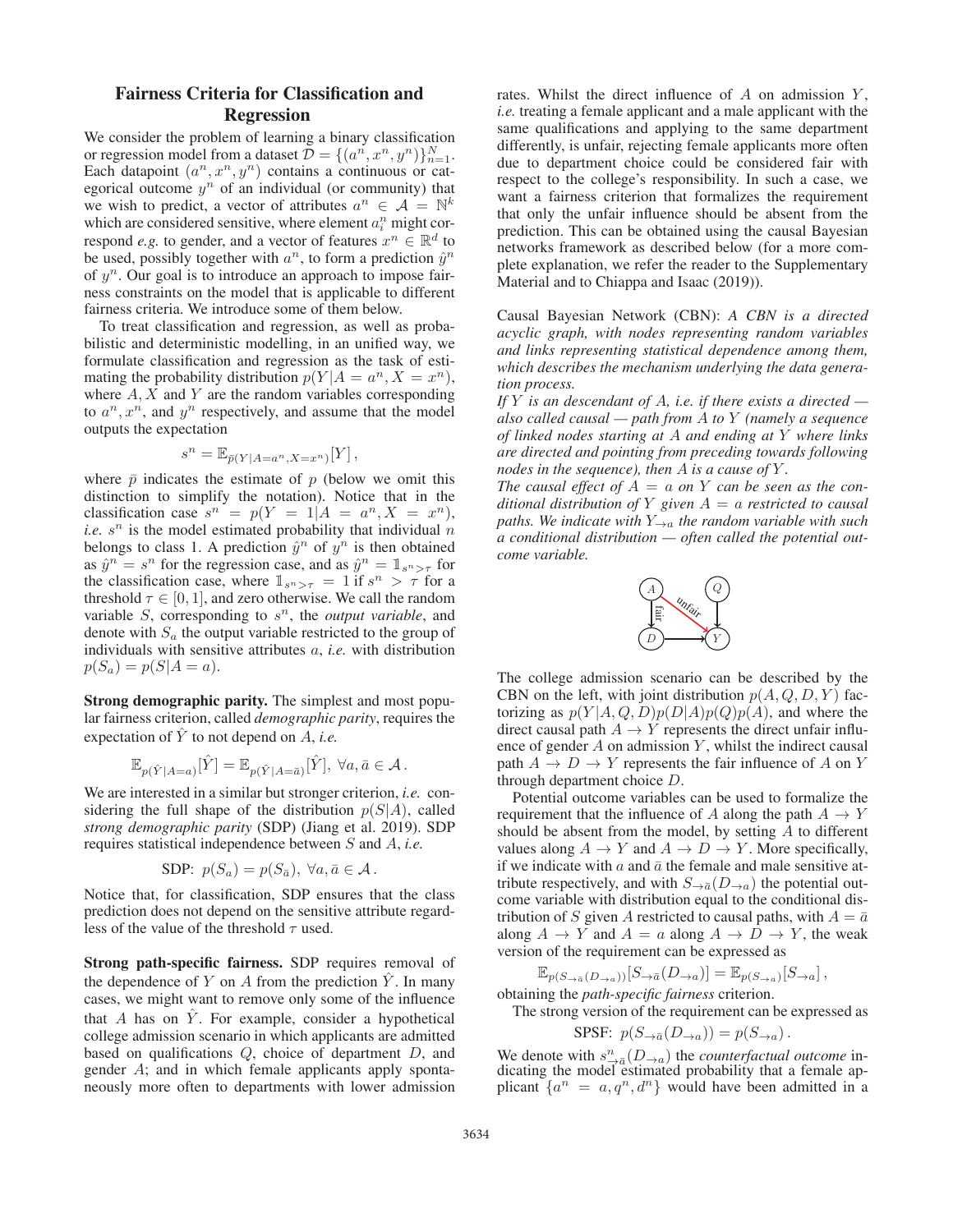## Fairness Criteria for Classification and Regression

We consider the problem of learning a binary classification or regression model from a dataset  $\tilde{\mathcal{D}} = \{(a^{\tilde{n}}, x^n, y^n)\}_{n=1}^N$ .<br>Each datapoint  $(a^n x^n, y^n)$  contains a continuous or cat-Each datapoint  $(a^n, x^n, y^n)$  contains a continuous or categorical outcome  $y^n$  of an individual (or community) that we wish to predict, a vector of attributes  $a^n \in \mathcal{A} = \mathbb{N}^k$ which are considered sensitive, where element  $a_i^n$  might correspond *e.g.* to gender, and a vector of features  $x^n \in \mathbb{R}^d$  to be used, possibly together with  $a^n$ , to form a prediction  $\hat{y}^n$ of  $y^n$ . Our goal is to introduce an approach to impose fairness constraints on the model that is applicable to different fairness criteria. We introduce some of them below.

To treat classification and regression, as well as probabilistic and deterministic modelling, in an unified way, we formulate classification and regression as the task of estimating the probability distribution  $p(Y|A = a^n, X = x^n)$ , where  $A, X$  and  $Y$  are the random variables corresponding to  $a^n, x^n$ , and  $y^n$  respectively, and assume that the model outputs the expectation

$$
s^n = \mathbb{E}_{\bar{p}(Y|A=a^n, X=x^n)}[Y],
$$

where  $\bar{p}$  indicates the estimate of p (below we omit this distinction to simplify the notation). Notice that in the classification case  $s^n = p(Y = 1 | A = a^n, X = x^n)$ , *i.e.*  $s^n$  is the model estimated probability that individual  $n$ belongs to class 1. A prediction  $\hat{y}^n$  of  $y^n$  is then obtained as  $\hat{y}^n = s^n$  for the regression case, and as  $\hat{y}^n = \mathbb{I}_{s^n > \tau}$  for the classification case, where  $\mathbb{1}_{s^n>\tau} = 1$  if  $s^n > \tau$  for a threshold  $\tau \in [0, 1]$ , and zero otherwise. We call the random variable  $S$ , corresponding to  $s^n$ , the *output variable*, and denote with  $S_a$  the output variable restricted to the group of individuals with sensitive attributes a, *i.e.* with distribution  $p(S_a) = p(S|A = a).$ 

Strong demographic parity. The simplest and most popular fairness criterion, called *demographic parity*, requires the expectation of  $\hat{Y}$  to not depend on A, *i.e.* 

$$
\mathbb{E}_{p(\hat{Y}|A=a)}[\hat{Y}] = \mathbb{E}_{p(\hat{Y}|A=\bar{a})}[\hat{Y}], \ \forall a, \bar{a} \in \mathcal{A}.
$$

We are interested in a similar but stronger criterion, *i.e.* considering the full shape of the distribution  $p(S|A)$ , called *strong demographic parity* (SDP) (Jiang et al. 2019). SDP requires statistical independence between S and A, *i.e.*

SDP: 
$$
p(S_a) = p(S_{\bar{a}}), \forall a, \bar{a} \in \mathcal{A}.
$$

Notice that, for classification, SDP ensures that the class prediction does not depend on the sensitive attribute regardless of the value of the threshold  $\tau$  used.

Strong path-specific fairness. SDP requires removal of the dependence of Y on A from the prediction  $\hat{Y}$ . In many cases, we might want to remove only some of the influence that A has on  $\hat{Y}$ . For example, consider a hypothetical college admission scenario in which applicants are admitted based on qualifications  $Q$ , choice of department  $D$ , and gender A; and in which female applicants apply spontaneously more often to departments with lower admission

rates. Whilst the direct influence of  $A$  on admission  $Y$ , *i.e.* treating a female applicant and a male applicant with the same qualifications and applying to the same department differently, is unfair, rejecting female applicants more often due to department choice could be considered fair with respect to the college's responsibility. In such a case, we want a fairness criterion that formalizes the requirement that only the unfair influence should be absent from the prediction. This can be obtained using the causal Bayesian networks framework as described below (for a more complete explanation, we refer the reader to the Supplementary Material and to Chiappa and Isaac (2019)).

Causal Bayesian Network (CBN): *A CBN is a directed acyclic graph, with nodes representing random variables and links representing statistical dependence among them, which describes the mechanism underlying the data generation process.*

*If* Y *is an descendant of* A*, i.e. if there exists a directed also called causal — path from* A *to* Y *(namely a sequence of linked nodes starting at* A *and ending at* Y *where links are directed and pointing from preceding towards following nodes in the sequence), then* A *is a cause of* Y *.*

*The causal effect of*  $A = a$  *on*  $Y$  *can be seen as the conditional distribution of* <sup>Y</sup> *given* <sup>A</sup> = <sup>a</sup> *restricted to causal paths. We indicate with* Y→<sup>a</sup> *the random variable with such a conditional distribution — often called the potential outcome variable.*



The college admission scenario can be described by the CBN on the left, with joint distribution  $p(A, Q, D, Y)$  factorizing as  $p(Y|A, Q, D)p(D|A)p(Q)p(A)$ , and where the direct causal path  $A \rightarrow Y$  represents the direct unfair influence of gender  $A$  on admission  $Y$ , whilst the indirect causal path  $A \to D \to Y$  represents the fair influence of A on Y through department choice D.

Potential outcome variables can be used to formalize the requirement that the influence of A along the path  $A \rightarrow Y$ should be absent from the model, by setting A to different values along  $A \to Y$  and  $A \to D \to Y$ . More specifically, if we indicate with a and  $\bar{a}$  the female and male sensitive attribute respectively, and with  $S_{\rightarrow \bar{a}}(D_{\rightarrow a})$  the potential outcome variable with distribution equal to the conditional distribution of S given A restricted to causal paths, with  $A = \overline{a}$ along  $A \to Y$  and  $A = a$  along  $A \to \overline{D} \to Y$ , the weak version of the requirement can be expressed as

 $\mathbb{E}_{p(S_{\to \bar{a}}(D_{\to a}))}[S_{\to \bar{a}}(D_{\to a})] = \mathbb{E}_{p(S_{\to a})}[S_{\to a}],$ 

obtaining the *path-specific fairness* criterion.

The strong version of the requirement can be expressed as

SPSF:  $p(S_{\rightarrow \bar{a}}(D_{\rightarrow a})) = p(S_{\rightarrow a})$ .

We denote with  $s^{\text{n}}_{\rightarrow \vec{a}}(D_{\rightarrow a})$  the *counterfactual outcome* indicating the model estimated probability that a female apdicating the model estimated probability that a female applicant  $\{a^n = a, q^n, d^n\}$  would have been admitted in a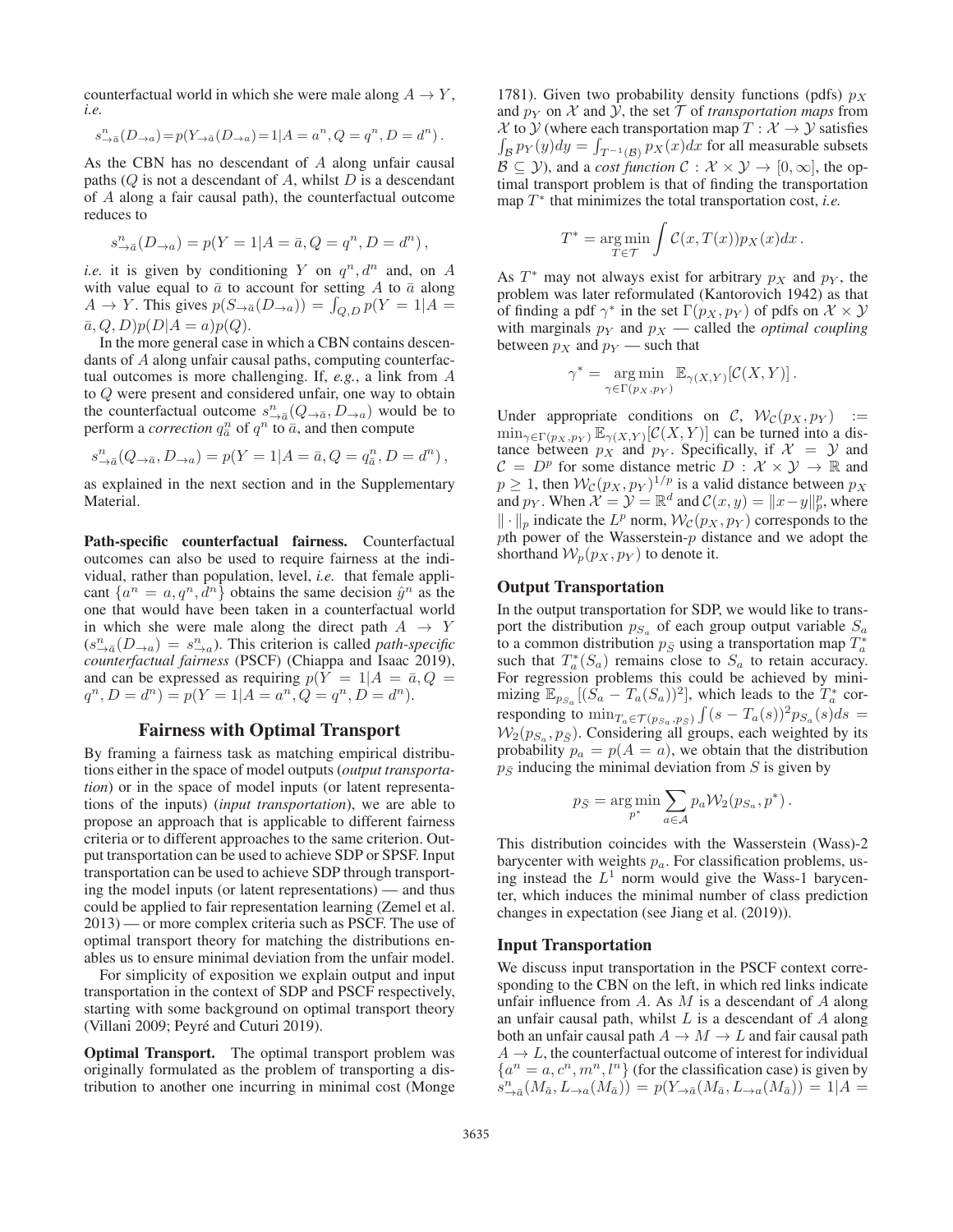counterfactual world in which she were male along  $A \rightarrow Y$ , *i.e.* 

$$
s_{\to \bar{a}}^n(D_{\to a}) = p(Y_{\to \bar{a}}(D_{\to a}) = 1 | A = a^n, Q = q^n, D = d^n).
$$

As the CBN has no descendant of A along unfair causal paths  $(Q)$  is not a descendant of A, whilst D is a descendant of A along a fair causal path), the counterfactual outcome reduces to

$$
s_{\to \bar{a}}^n(D_{\to a}) = p(Y = 1 | A = \bar{a}, Q = q^n, D = d^n),
$$

*i.e.* it is given by conditioning Y on  $q^n, d^n$  and, on A with value equal to  $\bar{a}$  to account for setting A to  $\bar{a}$  along  $A \rightarrow Y$ . This gives  $p(S_{\rightarrow \bar{a}}(D_{\rightarrow a})) = \int_{Q,D} p(Y = 1 | A = \bar{a} \cap D_{\bar{a}}(D_{\bar{a}}) \cap D_{\bar{a}}(D_{\bar{a}})$  $\bar{a}$ ,  $Q$ ,  $D$ ) $p(D|A = a)p(Q)$ .

In the more general case in which a CBN contains descendants of A along unfair causal paths, computing counterfactual outcomes is more challenging. If, *e.g.*, a link from A to Q were present and considered unfair, one way to obtain the counterfactual outcome  $s_{\rightarrow \bar{a}}^n(Q_{\rightarrow \bar{a}}, D_{\rightarrow a})$  would be to nerform a correction  $a^n$  of  $a^n$  to  $\bar{a}$  and then compute perform a *correction*  $q_a^n$  of  $q^n$  to  $\overline{a}$ , and then compute

$$
s_{\to \bar{a}}^n(Q_{\to \bar{a}}, D_{\to a}) = p(Y = 1 | A = \bar{a}, Q = q_{\bar{a}}^n, D = d^n),
$$

as explained in the next section and in the Supplementary Material.

Path-specific counterfactual fairness. Counterfactual outcomes can also be used to require fairness at the individual, rather than population, level, *i.e.* that female applicant  $\{a^n = a, q^n, d^n\}$  obtains the same decision  $\hat{y}^n$  as the one that would have been taken in a counterfactual world in which she were male along the direct path  $A \rightarrow Y$  $(s_{\rightarrow a}^n(\mathcal{D}_{\rightarrow a}) = s_{\rightarrow a}^n)$ . This criterion is called *path-specific counterfactual fairness* (PSCF) (Chianna and Isaac 2019) *counterfactual fairness* (PSCF) (Chiappa and Isaac 2019), and can be expressed as requiring  $p(Y = 1|A = \bar{a}, Q =$  $q^n, D = d^n$  =  $p(Y = 1 | A = a^n, Q = q^n, D = d^n)$ .

## Fairness with Optimal Transport

By framing a fairness task as matching empirical distributions either in the space of model outputs (*output transportation*) or in the space of model inputs (or latent representations of the inputs) (*input transportation*), we are able to propose an approach that is applicable to different fairness criteria or to different approaches to the same criterion. Output transportation can be used to achieve SDP or SPSF. Input transportation can be used to achieve SDP through transporting the model inputs (or latent representations) — and thus could be applied to fair representation learning (Zemel et al. 2013) — or more complex criteria such as PSCF. The use of optimal transport theory for matching the distributions enables us to ensure minimal deviation from the unfair model.

For simplicity of exposition we explain output and input transportation in the context of SDP and PSCF respectively, starting with some background on optimal transport theory (Villani 2009; Peyré and Cuturi 2019).

Optimal Transport. The optimal transport problem was originally formulated as the problem of transporting a distribution to another one incurring in minimal cost (Monge

1781). Given two probability density functions (pdfs)  $p<sub>X</sub>$ and  $p_Y$  on X and Y, the set T of *transportation maps* from  $\mathcal X$  to  $\mathcal Y$  (where each transportation map  $T: \mathcal X \rightarrow \mathcal Y$  satisfies  $\int_B p_Y(y) dy = \int_{T^{-1}(B)} p_X(x) dx$  for all measurable subsets  $\mathcal{B} \subseteq \mathcal{Y}$ ), and a *cost function*  $\mathcal{C} : \mathcal{X} \times \mathcal{Y} \rightarrow [0, \infty]$ , the optimal transport problem is that of finding the transportation map  $T^*$  that minimizes the total transportation cost, *i.e.* 

$$
T^* = \underset{T \in \mathcal{T}}{\arg \min} \int \mathcal{C}(x, T(x)) p_X(x) dx.
$$

As  $T^*$  may not always exist for arbitrary  $p_X$  and  $p_Y$ , the problem was later reformulated (Kantorovich 1942) as that of finding a pdf  $\gamma^*$  in the set  $\Gamma(p_X, p_Y)$  of pdfs on  $\mathcal{X} \times \mathcal{Y}$ with marginals  $p_Y$  and  $p_X$  — called the *optimal coupling* between  $p_X$  and  $p_Y$  — such that

$$
\gamma^* = \underset{\gamma \in \Gamma(p_X, p_Y)}{\arg \min} \mathbb{E}_{\gamma(X, Y)}[\mathcal{C}(X, Y)].
$$

Under appropriate conditions on C,  $W_c(p_X, p_Y)$  :=  $\min_{\gamma \in \Gamma(p_X, p_Y)} \mathbb{E}_{\gamma(X, Y)}[\mathcal{C}(X, Y)]$  can be turned into a distance between  $p_X$  and  $p_Y$ . Specifically if  $\mathcal{X} = \mathcal{Y}$  and tance between  $p_X$  and  $p_Y$ . Specifically, if  $\mathcal{X} = \mathcal{Y}$  and  $\mathcal{C} = D^p$  for some distance metric  $D : \mathcal{X} \times \mathcal{Y} \to \mathbb{R}$  and  $\mathcal{C} = D^p$  for some distance metric  $D : \mathcal{X} \times \mathcal{Y} \to \mathbb{R}$  and  $n \ge 1$  then  $\mathcal{W}_c(n \times n \times 1^{1/p})$  is a valid distance between  $n \times$  $p \ge 1$ , then  $\mathcal{W}_c(p_X, p_Y)^{1/p}$  is a valid distance between  $p_X$ <br>and  $p_Y$ . When  $\mathcal{X} = \mathcal{Y} = \mathbb{R}^d$  and  $\mathcal{C}(x, y) = ||x - y||^p$  where and  $p_Y$ . When  $\mathcal{X} = \mathcal{Y} = \mathbb{R}^d$  and  $\mathcal{C}(x, y) = ||x - y||_p^p$ , where  $\|\cdot\|_p$  indicate the  $L^p$  norm,  $\mathcal{W}_{\mathcal{C}}(p_X, p_Y)$  corresponds to the  $p$ th power of the Wasserstein- $p$  distance and we adopt the shorthand  $\mathcal{W}_p(p_X, p_Y)$  to denote it.

## Output Transportation

In the output transportation for SDP, we would like to transport the distribution  $p_{S_a}$  of each group output variable  $S_a$ to a common distribution  $p_{\bar{S}}$  using a transportation map  $T_a^*$ such that  $T_a^*(S_a)$  remains close to  $S_a$  to retain accuracy.<br>For regression problems this could be achieved by mini-For regression problems this could be achieved by minimizing  $\mathbb{E}_{p_{S_a}}[(\hat{S_a} - T_a(S_a))^2]$ , which leads to the  $T_a^*$  cor-<br>responding to minresponding to  $\min_{T_a \in \mathcal{T}(p_{S_a}, p_{\bar{S}})} \int (s - T_a(s))^2 p_{S_a}(s) ds =$ <br>  $\mathcal{W}_c(p_{S_a}, p_{\bar{S}})$  Considering all groups, each weighted by its  $W_2(p_{S_a}, p_{\bar{S}})$ . Considering all groups, each weighted by its probability  $p_a = p(A = a)$ , we obtain that the distribution  $p_{\bar{S}}$  inducing the minimal deviation from S is given by

$$
p_{\overline{S}} = \underset{p^*}{\arg\min} \sum_{a \in \mathcal{A}} p_a \mathcal{W}_2(p_{S_a}, p^*).
$$

This distribution coincides with the Wasserstein (Wass)-2 barycenter with weights  $p_a$ . For classification problems, using instead the  $L<sup>1</sup>$  norm would give the Wass-1 barycenter, which induces the minimal number of class prediction changes in expectation (see Jiang et al. (2019)).

### Input Transportation

We discuss input transportation in the PSCF context corresponding to the CBN on the left, in which red links indicate unfair influence from  $A$ . As  $M$  is a descendant of  $A$  along an unfair causal path, whilst  $L$  is a descendant of  $A$  along both an unfair causal path  $A \to M \to L$  and fair causal path  $A \rightarrow L$ , the counterfactual outcome of interest for individual  ${a<sup>n</sup> = a, c<sup>n</sup>, m<sup>n</sup>, l<sup>n</sup>}$  (for the classification case) is given by  $s_{\to \bar{a}}^n(M_{\bar{a}}, L_{\to a}(M_{\bar{a}})) = p(Y_{\to \bar{a}}(M_{\bar{a}}, L_{\to a}(M_{\bar{a}}))) = 1|A =$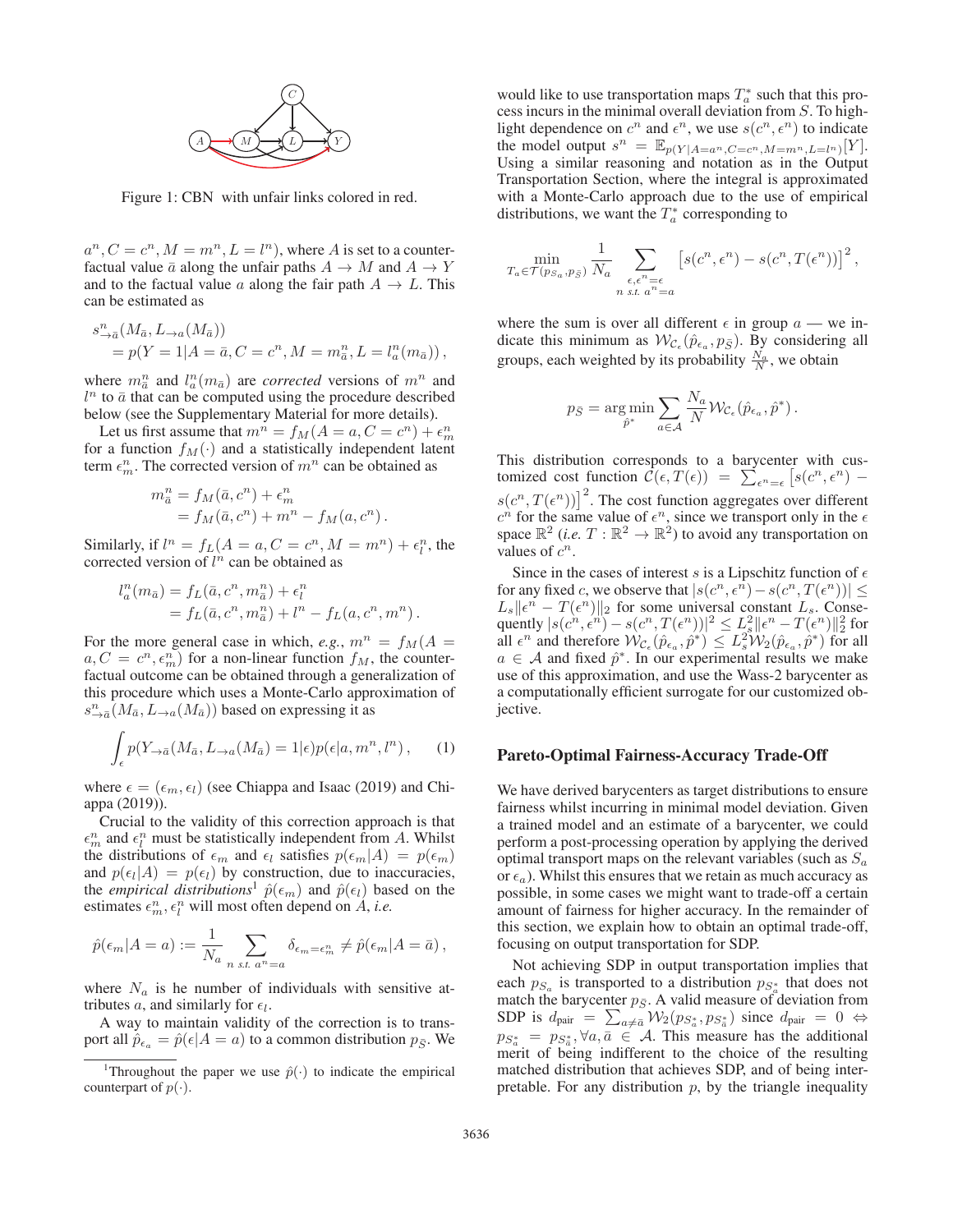

Figure 1: CBN with unfair links colored in red.

 $a^n, C = c^n, M = m^n, L = l^n$ , where A is set to a counter-<br>factual value  $\bar{a}$  along the unfair paths  $A \rightarrow M$  and  $A \rightarrow Y$ factual value  $\bar{a}$  along the unfair paths  $A \rightarrow M$  and  $A \rightarrow Y$ and to the factual value a along the fair path  $A \rightarrow L$ . This can be estimated as

$$
s_{\to \bar{a}}^n(M_{\bar{a}}, L_{\to a}(M_{\bar{a}}))
$$
  
=  $p(Y = 1 | A = \bar{a}, C = c^n, M = m_{\bar{a}}^n, L = l_a^n(m_{\bar{a}})),$ 

where  $m_a^n$  and  $l_a^n(m_{\bar{a}})$  are *corrected* versions of  $m^n$  and  $l^n$  to  $\bar{a}$  that can be computed using the procedure described  $l^n$  to  $\bar{a}$  that can be computed using the procedure described<br>below (see the Supplementary Material for more details) below (see the Supplementary Material for more details).

Let us first assume that  $m^n = f_M(A = a, C = c^n) + \epsilon_m^n$ <br>c a function  $f_M(.)$  and a statistically independent latent for a function  $f_M(\cdot)$  and a statistically independent latent term  $\epsilon_m^n$ . The corrected version of  $m^n$  can be obtained as

$$
m_{\bar{a}}^n = f_M(\bar{a}, c^n) + \epsilon_m^n
$$
  
=  $f_M(\bar{a}, c^n) + m^n - f_M(a, c^n)$ .

Similarly, if  $l^n = f_L(A = a, C = c^n, M = m^n) + \epsilon_l^n$ , the corrected version of  $l^n$  can be obtained as corrected version of  $\hat{l}^n$  can be obtained as

$$
l_a^n(m_{\bar{a}}) = f_L(\bar{a}, c^n, m_{\bar{a}}^n) + \epsilon_l^n
$$
  
=  $f_L(\bar{a}, c^n, m_{\bar{a}}^n) + l^n - f_L(a, c^n, m^n)$ .

For the more general case in which, *e.g.*,  $m^n = f_M(A =$  $a, C = c^n, \epsilon_m^n$  for a non-linear function  $f_M$ , the counter-<br>factual outcome can be obtained through a generalization of factual outcome can be obtained through a generalization of this procedure which uses a Monte-Carlo approximation of  $s^{\textit{n}}_{\rightarrow \bar{a}}(M_{\bar{a}}, L_{\rightarrow a}(M_{\bar{a}}))$  based on expressing it as

$$
\int_{\epsilon} p(Y_{\to \bar{a}}(M_{\bar{a}}, L_{\to a}(M_{\bar{a}}) = 1 | \epsilon) p(\epsilon | a, m^n, l^n), \qquad (1)
$$

where  $\epsilon = (\epsilon_m, \epsilon_l)$  (see Chiappa and Isaac (2019) and Chiappa (2019)).

Crucial to the validity of this correction approach is that  $\epsilon_m^n$  and  $\epsilon_l^n$  must be statistically independent from A. Whilst the distributions of  $\epsilon_m$  and  $\epsilon_l$  satisfies  $p(\epsilon_m|A) = p(\epsilon_m)$ and  $p(\epsilon_l|A) = p(\epsilon_l)$  by construction, due to inaccuracies, the *empirical distributions*<sup>1</sup>  $\hat{p}(\epsilon_m)$  and  $\hat{p}(\epsilon_l)$  based on the estimates  $\epsilon_m^n$ ,  $\epsilon_l^n$  will most often depend on A, *i.e.* 

$$
\hat{p}(\epsilon_m | A = a) := \frac{1}{N_a} \sum_{n \text{ s.t. } a^n = a} \delta_{\epsilon_m = \epsilon_m^n} \neq \hat{p}(\epsilon_m | A = \bar{a}),
$$

where  $N_a$  is he number of individuals with sensitive attributes a, and similarly for  $\epsilon_l$ .

A way to maintain validity of the correction is to transport all  $\hat{p}_{\epsilon_a} = \hat{p}(\epsilon | A = a)$  to a common distribution  $p_{\bar{S}}$ . We

would like to use transportation maps  $T_a^*$  such that this process incurs in the minimal overall deviation from S. To highlight dependence on  $c^n$  and  $\epsilon^n$ , we use  $s(c^n, \epsilon^n)$  to indicate the model output  $s^n = \mathbb{E}_{p(Y|A=a^n, C=c^n, M=m^n, L=l^n)}[Y].$ Using a similar reasoning and notation as in the Output Transportation Section, where the integral is approximated with a Monte-Carlo approach due to the use of empirical distributions, we want the  $T_a^*$  corresponding to

$$
\min_{T_a \in \mathcal{T}(p_{S_a}, p_{\bar{S}})} \frac{1}{N_a} \sum_{\substack{\epsilon, \epsilon^n = \epsilon \\ n \text{ s.t. } a^n = a}} \left[ s(c^n, \epsilon^n) - s(c^n, T(\epsilon^n)) \right]^2,
$$

where the sum is over all different  $\epsilon$  in group  $a$  — we indicate this minimum as  $\mathcal{W}_{C_{\epsilon}}(\hat{p}_{\epsilon_a}, p_{\bar{S}})$ . By considering all groups each weighted by its probability  $N_a$ , we obtain groups, each weighted by its probability  $\frac{N_a}{N}$ , we obtain

$$
p_{\bar{S}} = \underset{\hat{p}^*}{\arg\min} \sum_{a \in \mathcal{A}} \frac{N_a}{N} \mathcal{W}_{\mathcal{C}_{\epsilon}}(\hat{p}_{\epsilon_a}, \hat{p}^*).
$$

This distribution corresponds to a barycenter with customized cost function  $\mathcal{C}(\epsilon, T(\epsilon)) = \sum_{\epsilon}^{\epsilon} [s(c^n, \epsilon^n)$  $s(c^n, T(\epsilon^n))]^2$ . The cost function aggregates over different  $c^n$  for the same value of  $\epsilon^n$  since we transport only in the  $\epsilon$  $c^n$  for the same value of  $\epsilon^n$ , since we transport only in the  $\epsilon$ space  $\mathbb{R}^2$  (*i.e.*  $T : \mathbb{R}^2 \to \mathbb{R}^2$ ) to avoid any transportation on values of  $c^n$ .

Since in the cases of interest s is a Lipschitz function of  $\epsilon$ for any fixed c, we observe that  $|s(c^n, \epsilon^n) - s(c^n, T(\epsilon^n))| \le$  $L_s \leqslant e^{n} - T(\epsilon^n) \|_2$  for some universal constant  $L_s$ . Conse-<br>quently  $|s(e^n, \epsilon^n) - s(e^n, T(\epsilon^n))|^2 \leq L^2 \| \epsilon^n - T(\epsilon^n) \|_2^2$  for quently  $|s(c^n, \epsilon^n) - s(c^n, T(\epsilon^n))|^2 \leq L_s^2 ||\epsilon^n - T(\epsilon^n)||_2^2$  for all  $\epsilon^n$  and therefore  $\mathcal{W}_{\epsilon}$  ( $\hat{n}$ ,  $\hat{n}^*$ )  $\leq L_s^2 \mathcal{W}_{\epsilon}(\hat{n}, \hat{n}^*)$  for all all  $\epsilon^n$  and therefore  $\mathcal{W}_{C_{\epsilon}}(\hat{p}_{\epsilon_\alpha}, \hat{p}^*) \leq L_5^2 \mathcal{W}_2(\hat{p}_{\epsilon_\alpha}, \hat{p}^*)$  for all  $a \in A$  and fixed  $\hat{p}^*$ . In our experimental results we make  $a \in A$  and fixed  $\hat{p}^*$ . In our experimental results we make use of this approximation, and use the Wass-2 barycenter as a computationally efficient surrogate for our customized objective.

#### Pareto-Optimal Fairness-Accuracy Trade-Off

We have derived barycenters as target distributions to ensure fairness whilst incurring in minimal model deviation. Given a trained model and an estimate of a barycenter, we could perform a post-processing operation by applying the derived optimal transport maps on the relevant variables (such as  $S_a$ or  $\epsilon_a$ ). Whilst this ensures that we retain as much accuracy as possible, in some cases we might want to trade-off a certain amount of fairness for higher accuracy. In the remainder of this section, we explain how to obtain an optimal trade-off, focusing on output transportation for SDP.

Not achieving SDP in output transportation implies that each  $p_{S_a}$  is transported to a distribution  $p_{S_a^*}$  that does not match the barycenter  $p_{\bar{S}}$ . A valid measure of deviation from SDP is  $d_{\text{pair}} = \sum_{a \neq \overline{a}} \mathcal{W}_2(p_{S_a^*}, p_{S_a^*})$  since  $d_{\text{pair}} = 0 \Leftrightarrow$ <br> $p_{\text{max}} = p_{\text{max}} \forall a \overline{a} \in \mathcal{A}$ . This measure has the additional  $p_{S_a^*} = p_{S_a^*}, \forall a, \overline{a} \in \mathcal{A}$ . This measure has the additional merit of being indifferent to the choice of the resulting merit of being indifferent to the choice of the resulting matched distribution that achieves SDP, and of being interpretable. For any distribution  $p$ , by the triangle inequality

<sup>&</sup>lt;sup>1</sup>Throughout the paper we use  $\hat{p}(\cdot)$  to indicate the empirical counterpart of  $p(\cdot)$ .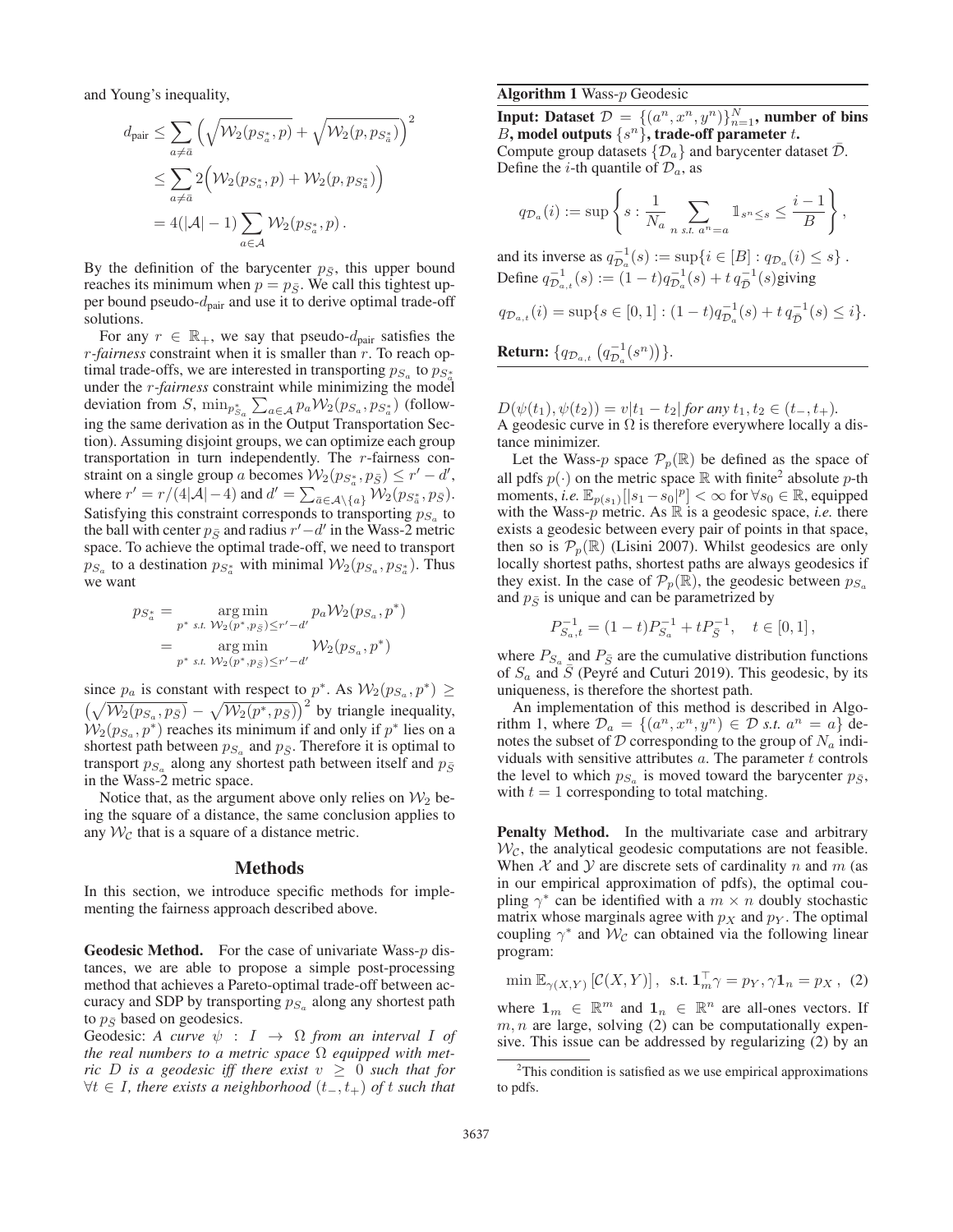and Young's inequality,

$$
d_{\text{pair}} \leq \sum_{a \neq \bar{a}} \left( \sqrt{\mathcal{W}_2(p_{S_a^*}, p)} + \sqrt{\mathcal{W}_2(p, p_{S_a^*})} \right)^2
$$
  

$$
\leq \sum_{a \neq \bar{a}} 2 \left( \mathcal{W}_2(p_{S_a^*}, p) + \mathcal{W}_2(p, p_{S_a^*}) \right)
$$
  

$$
= 4(|\mathcal{A}| - 1) \sum_{a \in \mathcal{A}} \mathcal{W}_2(p_{S_a^*}, p).
$$

By the definition of the barycenter  $p_{\bar{S}}$ , this upper bound reaches its minimum when  $p = p_{\bar{S}}$ . We call this tightest upper bound pseudo- $d_{\text{pair}}$  and use it to derive optimal trade-off solutions.

For any  $r \in \mathbb{R}_+$ , we say that pseudo- $d_{\text{pair}}$  satisfies the r*-fairness* constraint when it is smaller than r. To reach optimal trade-offs, we are interested in transporting  $p_{S_a}$  to  $p_{S_a^*}$ under the r*-fairness* constraint while minimizing the model deviation from  $S$ ,  $\min_{p_{s_a}^*} \sum_{a \in A} p_a \mathcal{W}_2(p_{s_a}, p_{s_a^*})$  (following the same derivation as in the Output Transportation Section). Assuming disjoint groups, we can optimize each group transportation in turn independently. The r-fairness constraint on a single group a becomes  $\mathcal{W}_2(p_{S_a^*}, p_{\bar{S}}) \le r' - d'$ ,<br>where  $r' = r/(4|A| - 4)$  and  $d' = \sum_{y} \mathcal{W}_2(p_{S_a^*}, p_{\bar{S}})$ where  $r' = r/(4|\mathcal{A}|-4)$  and  $d' = \sum_{\bar{a} \in \mathcal{A}\setminus\{a\}} \hat{W}_2(p_{\mathcal{S}_{\bar{a}}^*,p_{\bar{S}}}).$ Satisfying this constraint corresponds to transporting  $p_{S_a}$  to the ball with center  $p_{\bar{S}}$  and radius  $r' - d'$  in the Wass-2 metric space. To achieve the optimal trade-off, we need to transport  $p_{S_a}$  to a destination  $p_{S_a^*}$  with minimal  $\mathcal{W}_2(p_{S_a}, p_{S_a^*})$ . Thus we want we want

$$
p_{S_a^*} = \operatorname*{arg\,min}_{p^* \text{ s.t. } \mathcal{W}_2(p^*, p_{\bar{S}}) \le r' - d'} p_a \mathcal{W}_2(p_{S_a}, p^*)
$$
  
= 
$$
\operatorname*{arg\,min}_{p^* \text{ s.t. } \mathcal{W}_2(p^*, p_{\bar{S}}) \le r' - d'} \mathcal{W}_2(p_{S_a}, p^*)
$$

since  $p_a$  is constant with respect to  $p^*$ . As  $\mathcal{W}_2(p_{S_a}, p^*) \geq$  $(\sqrt{W_2(p_{S_a}, p_{\bar{S}})} - \sqrt{W_2(p^*, p_{\bar{S}})})^2$  by triangle inequality,<br>  $W_2(p_{S_a}, p^*)$  reaches its minimum if and only if  $n^*$  lies on a  $W_2(p_{S_a}, p^*)$  reaches its minimum if and only if  $p^*$  lies on a shortest path between  $p_{S_a}$  and  $p_{\bar{S}}$ . Therefore it is optimal to transport  $p_{S_a}$  along any shortest path between itself and  $p_{\bar{S}}$ in the Wass-2 metric space.

Notice that, as the argument above only relies on  $\mathcal{W}_2$  being the square of a distance, the same conclusion applies to any  $W_{\mathcal{C}}$  that is a square of a distance metric.

### Methods

In this section, we introduce specific methods for implementing the fairness approach described above.

**Geodesic Method.** For the case of univariate Wass- $p$  distances, we are able to propose a simple post-processing method that achieves a Pareto-optimal trade-off between accuracy and SDP by transporting  $p_{S_a}$  along any shortest path to  $p_{\bar{S}}$  based on geodesics.

Geodesic: *A curve*  $\psi$  :  $I \rightarrow \Omega$  *from an interval I of the real numbers to a metric space*  $\Omega$  *equipped with metric* D *is a geodesic iff there exist*  $v \geq 0$  *such that for* <sup>∀</sup><sup>t</sup> <sup>∈</sup> <sup>I</sup>*, there exists a neighborhood* (t−, t<sup>+</sup>) *of* <sup>t</sup> *such that*

## Algorithm 1 Wass- $p$  Geodesic

**Input:** Dataset  $\mathcal{D} = \{(a^n, x^n, y^n)\}_{n=1}^N$ , number of bins <br>B. model outputs  $\{s^n\}$ , trade-off parameter t. B, model outputs  $\{s^n\}$ , trade-off parameter t. Compute group datasets  $\{\mathcal{D}_a\}$  and barycenter dataset  $\bar{\mathcal{D}}$ .

Define the *i*-th quantile of  $\mathcal{D}_a$ , as

$$
q_{\mathcal{D}_a}(i) := \sup \left\{ s : \frac{1}{N_a} \sum_{n \text{ s.t. } a^n = a} \mathbb{1}_{s^n \le s} \le \frac{i-1}{B} \right\},\
$$

and its inverse as  $q_{D_a}^{-1}(s) := \sup\{i \in [B] : q_{D_a}(i) \leq s\}.$ <br>Dafter  $s^{-1}(s) : (1, t)_{s^{-1}(s)} : t^{-1}(s)$  is in substituting. Define  $q_{\mathcal{D}_{a,t}}^{-1}(s) := (1-t)q_{\mathcal{D}_a}^{-1}(s) + t q_{\mathcal{D}}^{-1}(s)$ giving

$$
q_{\mathcal{D}_{a,t}}(i) = \sup\{s \in [0,1] : (1-t)q_{\mathcal{D}_a}^{-1}(s) + t q_{\overline{\mathcal{D}}}^{-1}(s) \leq i\}.
$$

**Return:** 
$$
\{q_{\mathcal{D}_{a,t}}(q_{\mathcal{D}_{a}}^{-1}(s^n))\}
$$
.

 $D(\psi(t_1), \psi(t_2)) = v|t_1 - t_2|$  *for any*  $t_1, t_2 \in (t_-, t_+).$ A geodesic curve in  $\Omega$  is therefore everywhere locally a distance minimizer.

Let the Wass-p space  $\mathcal{P}_p(\mathbb{R})$  be defined as the space of all pdfs  $p(\cdot)$  on the metric space R with finite<sup>2</sup> absolute p-th moments, *i.e.*  $\mathbb{E}_{p(s_1)}[|s_1 - s_0|^p] < \infty$  for  $\forall s_0 \in \mathbb{R}$ , equipped with the Wass-*n* metric As  $\mathbb{R}$  is a geodesic space *i.e.* there with the Wass- $p$  metric. As  $\mathbb R$  is a geodesic space, *i.e.* there exists a geodesic between every pair of points in that space, then so is  $P_p(\mathbb{R})$  (Lisini 2007). Whilst geodesics are only locally shortest paths, shortest paths are always geodesics if they exist. In the case of  $\mathcal{P}_p(\mathbb{R})$ , the geodesic between  $p_{S_a}$ and  $p_{\bar{S}}$  is unique and can be parametrized by

$$
P_{S_a,t}^{-1} = (1-t)P_{S_a}^{-1} + tP_{\bar{S}}^{-1}, \quad t \in [0,1],
$$

where  $P_{S_a}$  and  $P_{\bar{S}}$  are the cumulative distribution functions of  $S_a$  and S (Peyré and Cuturi 2019). This geodesic, by its uniqueness, is therefore the shortest path.

An implementation of this method is described in Algorithm 1, where  $\mathcal{D}_a = \{(a^n, x^n, y^n) \in \mathcal{D} \text{ s.t. } a^n = a\}$  denotes the subset of  $D$  corresponding to the group of  $N_a$  individuals with sensitive attributes  $a$ . The parameter  $t$  controls the level to which  $p_{S_a}$  is moved toward the barycenter  $p_{\bar{S}_2}$ , with  $t = 1$  corresponding to total matching.

Penalty Method. In the multivariate case and arbitrary  $W_c$ , the analytical geodesic computations are not feasible. When  $X$  and  $Y$  are discrete sets of cardinality n and m (as in our empirical approximation of pdfs), the optimal coupling  $\gamma^*$  can be identified with a  $m \times n$  doubly stochastic matrix whose marginals agree with  $p<sub>X</sub>$  and  $p<sub>Y</sub>$ . The optimal coupling  $\gamma^*$  and  $W_c$  can obtained via the following linear program:

$$
\min \mathbb{E}_{\gamma(X,Y)} \left[ \mathcal{C}(X,Y) \right], \text{ s.t. } \mathbf{1}_m^\top \gamma = p_Y, \gamma \mathbf{1}_n = p_X, (2)
$$

where  $\mathbf{1}_m \in \mathbb{R}^m$  and  $\mathbf{1}_n \in \mathbb{R}^n$  are all-ones vectors. If  $m, n$  are large, solving (2) can be computationally expensive. This issue can be addressed by regularizing (2) by an

<sup>&</sup>lt;sup>2</sup>This condition is satisfied as we use empirical approximations to pdfs.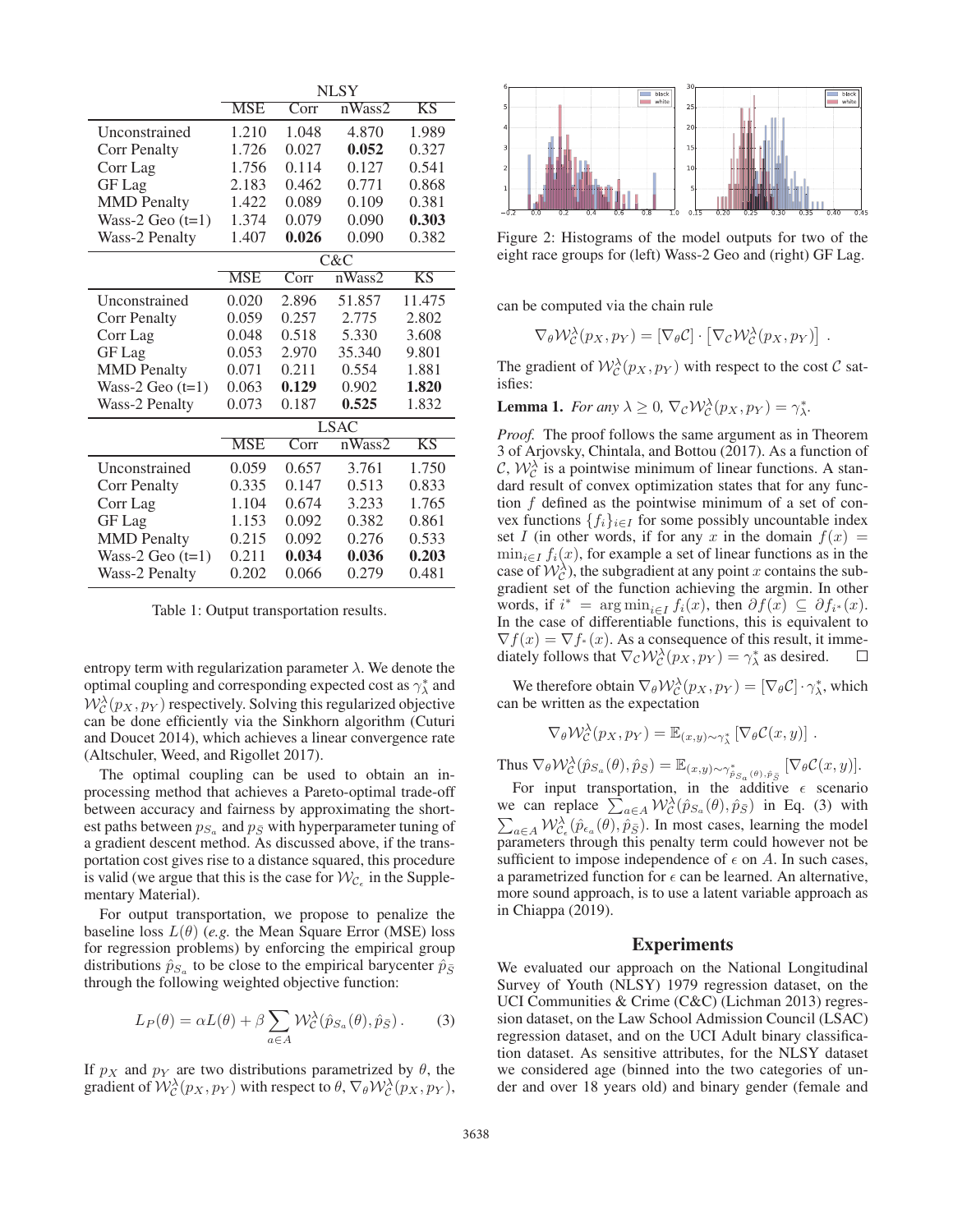|                     | NLSY                    |       |        |                        |  |
|---------------------|-------------------------|-------|--------|------------------------|--|
|                     | <b>MSE</b>              | Corr  | nWass2 | $\overline{\text{KS}}$ |  |
| Unconstrained       | 1.210                   | 1.048 | 4.870  | 1.989                  |  |
| <b>Corr Penalty</b> | 1.726                   | 0.027 | 0.052  | 0.327                  |  |
| Corr Lag            | 1.756                   | 0.114 | 0.127  | 0.541                  |  |
| GF Lag              | 2.183                   | 0.462 | 0.771  | 0.868                  |  |
| <b>MMD</b> Penalty  | 1.422                   | 0.089 | 0.109  | 0.381                  |  |
| Wass-2 Geo $(t=1)$  | 1.374                   | 0.079 | 0.090  | 0.303                  |  |
| Wass-2 Penalty      | 1.407                   | 0.026 | 0.090  | 0.382                  |  |
|                     | C&C                     |       |        |                        |  |
|                     | <b>MSE</b>              | Corr  | nWass2 | $\overline{\text{KS}}$ |  |
| Unconstrained       | 0.020                   | 2.896 | 51.857 | 11.475                 |  |
| Corr Penalty        | 0.059                   | 0.257 | 2.775  | 2.802                  |  |
| Corr Lag            | 0.048                   | 0.518 | 5.330  | 3.608                  |  |
| GF Lag              | 0.053                   | 2.970 | 35.340 | 9.801                  |  |
| <b>MMD</b> Penalty  | 0.071                   | 0.211 | 0.554  | 1.881                  |  |
| Wass-2 Geo $(t=1)$  | 0.063                   | 0.129 | 0.902  | 1.820                  |  |
| Wass-2 Penalty      | 0.073                   | 0.187 | 0.525  | 1.832                  |  |
|                     | <b>LSAC</b>             |       |        |                        |  |
|                     | $\overline{\text{MSE}}$ | Corr  | nWass2 | $\overline{\text{KS}}$ |  |
| Unconstrained       | 0.059                   | 0.657 | 3.761  | 1.750                  |  |
| <b>Corr Penalty</b> | 0.335                   | 0.147 | 0.513  | 0.833                  |  |
| Corr Lag            | 1.104                   | 0.674 | 3.233  | 1.765                  |  |
| GF Lag              | 1.153                   | 0.092 | 0.382  | 0.861                  |  |
| <b>MMD</b> Penalty  | 0.215                   | 0.092 | 0.276  | 0.533                  |  |
| Wass-2 Geo $(t=1)$  | 0.211                   | 0.034 | 0.036  | 0.203                  |  |
| Wass-2 Penalty      | 0.202                   | 0.066 | 0.279  | 0.481                  |  |

Table 1: Output transportation results.

entropy term with regularization parameter  $\lambda$ . We denote the optimal coupling and corresponding expected cost as  $\gamma_{\lambda}^{*}$  and  $\mathcal{W}_C^{\lambda}(p_X, p_Y)$  respectively. Solving this regularized objective can be done efficiently via the Sinkhorn algorithm (Cuturi can be done efficiently via the Sinkhorn algorithm (Cuturi and Doucet 2014), which achieves a linear convergence rate (Altschuler, Weed, and Rigollet 2017).

The optimal coupling can be used to obtain an inprocessing method that achieves a Pareto-optimal trade-off between accuracy and fairness by approximating the shortest paths between  $p_{S_a}$  and  $p_{\bar{S}}$  with hyperparameter tuning of a gradient descent method. As discussed above, if the transportation cost gives rise to a distance squared, this procedure is valid (we argue that this is the case for  $\mathcal{W}_{\mathcal{C}_{\epsilon}}$  in the Supplementary Material).

For output transportation, we propose to penalize the baseline loss  $L(\theta)$  (*e.g.* the Mean Square Error (MSE) loss for regression problems) by enforcing the empirical group distributions  $\hat{p}_{S_a}$  to be close to the empirical barycenter  $\hat{p}_{\bar{S}}$ through the following weighted objective function:

$$
L_P(\theta) = \alpha L(\theta) + \beta \sum_{a \in A} \mathcal{W}_\mathcal{C}^\lambda(\hat{p}_{S_a}(\theta), \hat{p}_{\bar{S}}).
$$
 (3)

If  $p_X$  and  $p_Y$  are two distributions parametrized by  $\theta$ , the gradient of  $\mathcal{W}_C^{\lambda}(p_X, p_Y)$  with respect to  $\theta$ ,  $\nabla_{\theta} \mathcal{W}_C^{\lambda}(p_X, p_Y)$ ,



Figure 2: Histograms of the model outputs for two of the eight race groups for (left) Wass-2 Geo and (right) GF Lag.

can be computed via the chain rule

$$
\nabla_{\theta} \mathcal{W}^{\lambda}_{\mathcal{C}}(p_X, p_Y) = [\nabla_{\theta} \mathcal{C}] \cdot [\nabla_{\mathcal{C}} \mathcal{W}^{\lambda}_{\mathcal{C}}(p_X, p_Y)].
$$

The gradient of  $W_C^{\lambda}(p_X, p_Y)$  with respect to the cost C satisfies: isfies:

**Lemma 1.** *For any*  $\lambda \geq 0$ ,  $\nabla_C \mathcal{W}_C^{\lambda}(p_X, p_Y) = \gamma_{\lambda}^*$ .

*Proof.* The proof follows the same argument as in Theorem 3 of Arjovsky, Chintala, and Bottou (2017). As a function of C,  $W_c^{\lambda}$  is a pointwise minimum of linear functions. A standard result of convex optimization states that for any function  $f$  defined as the pointwise minimum of a set of convex functions  $\{f_i\}_{i\in I}$  for some possibly uncountable index set I (in other words, if for any x in the domain  $f(x) =$  $\min_{i \in I} f_i(x)$ , for example a set of linear functions as in the case of  $\mathcal{W}_c^{\lambda}$ , the subgradient at any point x contains the subgradient set of the function achieving the argmin. In other words, if  $i^* = \arg \min_{i \in I} f_i(x)$ , then  $\partial f(x) \subseteq \partial f_{i^*}(x)$ .<br>In the case of differentiable functions this is equivalent to In the case of differentiable functions, this is equivalent to  $\nabla f(x) = \nabla f_*(x)$ . As a consequence of this result, it immediately follows that  $\nabla_c \mathcal{W}_c^{\lambda}(p_X, p_Y) = \gamma^*$  as desired. diately follows that  $\nabla_c W_c^{\lambda}(p_X, p_Y) = \gamma_{\lambda}^*$  as desired.

We therefore obtain  $\nabla_{\theta} \mathcal{W}_C^{\lambda}(p_X, p_Y) = [\nabla_{\theta} \mathcal{C}] \cdot \gamma_{\lambda}^*$ , which n be written as the expectation can be written as the expectation

$$
\nabla_{\theta} \mathcal{W}^{\lambda}_{\mathcal{C}}(p_X, p_Y) = \mathbb{E}_{(x,y)\sim \gamma^*_{\lambda}} \left[ \nabla_{\theta} \mathcal{C}(x,y) \right].
$$

Thus  $\nabla_{\theta} \mathcal{W}_{\mathcal{C}}^{\lambda}(\hat{p}_{S_a}(\theta), \hat{p}_{\bar{S}}) = \mathbb{E}_{(x,y)\sim \gamma^*_{\hat{p}_{S_a}(\theta), \hat{p}_{\bar{S}}}} [\nabla_{\theta} \mathcal{C}(x, y)].$ <br>For input transportation, in the additive  $\epsilon$  scenario

we can replace  $\sum_{a \in A} W_{\alpha}^{\lambda}(\hat{p}_{S_a}(\theta), \hat{p}_{\overline{S}})$  in Eq. (3) with  $\sum_{a \in A} \mathcal{W}_{c_{\epsilon}}^{\lambda}(\hat{p}_{\epsilon_a}(\theta), \hat{p}_{\overline{S}})$ . In most cases, learning the model parameters through this penalty term could however not be parameters through this penalty term could however not be sufficient to impose independence of  $\epsilon$  on A. In such cases, a parametrized function for  $\epsilon$  can be learned. An alternative, more sound approach, is to use a latent variable approach as in Chiappa (2019).

#### Experiments

We evaluated our approach on the National Longitudinal Survey of Youth (NLSY) 1979 regression dataset, on the UCI Communities & Crime (C&C) (Lichman 2013) regression dataset, on the Law School Admission Council (LSAC) regression dataset, and on the UCI Adult binary classification dataset. As sensitive attributes, for the NLSY dataset we considered age (binned into the two categories of under and over 18 years old) and binary gender (female and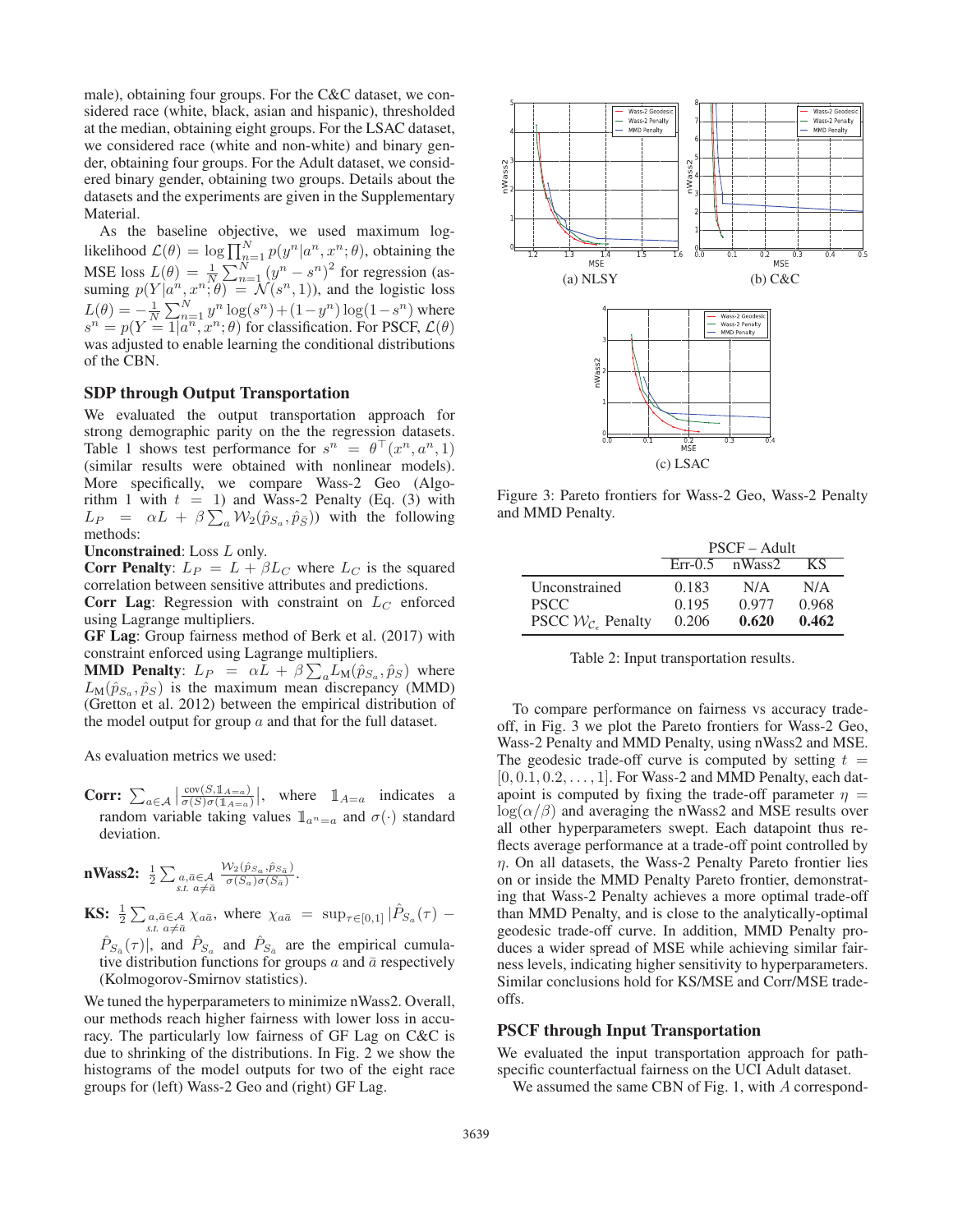male), obtaining four groups. For the C&C dataset, we considered race (white, black, asian and hispanic), thresholded at the median, obtaining eight groups. For the LSAC dataset, we considered race (white and non-white) and binary gender, obtaining four groups. For the Adult dataset, we considered binary gender, obtaining two groups. Details about the datasets and the experiments are given in the Supplementary Material.

As the baseline objective, we used maximum loglikelihood  $\mathcal{L}(\theta) = \log \prod_{n=1}^{N} p(y^n | a^n, x^n; \theta)$ , obtaining the MSE loss  $L(\theta) = \frac{1}{N} \sum_{n=1}^{N} (y^n - s^n)^2$  for regression (as-<br>suming  $n(Y|a^n, x^n; \theta) = N(s^n, 1)$ ) and the logistic loss suming  $p(Y | a^n, x^n; \theta) = N(s^n, 1)$ , and the logistic loss  $I(\theta) = \frac{1}{N} \sum_{n=1}^{N} \frac{a_n}{\log(a_n)} + \frac{1}{N} \frac{a_n}{\log(1-a_n)} \frac{a_n}{\log(1-a_n)}$  $L(\theta) = -\frac{1}{N} \sum_{n=1}^{N} y^n \log(s^n) + (1 - y^n) \log(1 - s^n)$  where<br>  $s^n = p(Y = 1 | a^n, x^n; \theta)$  for classification. For PSCF,  $\mathcal{L}(\theta)$  was adjusted to enable learning the conditional distributions was adjusted to enable learning the conditional distributions of the CBN.

## SDP through Output Transportation

We evaluated the output transportation approach for strong demographic parity on the the regression datasets. Table 1 shows test performance for  $s^n = \theta^{\top}(x^n, a^n, 1)$ (similar results were obtained with nonlinear models). More specifically, we compare Wass-2 Geo (Algorithm 1 with  $t = 1$ ) and Wass-2 Penalty (Eq. (3) with  $L_P = \alpha L + \beta \sum_a \mathcal{W}_2(\hat{p}_{S_a}, \hat{p}_{\bar{S}})$  with the following methods: methods:

Unconstrained: Loss L only.

**Corr Penalty:**  $L_P = L + \beta L_C$  where  $L_C$  is the squared correlation between sensitive attributes and predictions.

**Corr Lag:** Regression with constraint on  $L<sub>C</sub>$  enforced using Lagrange multipliers.

GF Lag: Group fairness method of Berk et al. (2017) with constraint enforced using Lagrange multipliers.

**MMD Penalty:**  $L_P = \alpha L + \beta \sum_a L_M(\hat{p}_{S_a}, \hat{p}_S)$  where  $L_M(\hat{p}_{S_a}, \hat{p}_S)$  is the maximum mean discrepancy (MMD)  $L_M(\hat{p}_{S_a}, \hat{p}_S)$  is the maximum mean discrepancy (MMD) (Gretton et al. 2012) between the empirical distribution of the model output for group  $\alpha$  and that for the full dataset.

As evaluation metrics we used:

**Corr:**  $\sum_{a \in \mathcal{A}} \left| \frac{\text{cov}(S, \mathbb{1}_{A=a})}{\sigma(S)\sigma(\mathbb{1}_{A=a})} \right|$ , where  $\mathbb{1}_{A=a}$  indicates a random variable taking values  $\mathbb{1}_{a^n=a}$  and  $\sigma(\cdot)$  standard deviation.

**nWass2:** 
$$
\frac{1}{2} \sum_{\substack{a,\bar{a} \in \mathcal{A} \\ \text{s.t. } a \neq \bar{a}}} \frac{\mathcal{W}_2(\hat{p}_{S_a}, \hat{p}_{S_{\bar{a}}})}{\sigma(S_a)\sigma(S_{\bar{a}})}.
$$

**KS:**  $\frac{1}{2} \sum_{\substack{a,\bar{a} \in A \\ s.t. \ a \neq \bar{a}}} \chi_{a\bar{a}}$ , where  $\chi_{a\bar{a}} = \sup_{\tau \in [0,1]} |\hat{P}_{S_a}(\tau) \hat{P}_{S_{\bar{a}}}(\tau)$ , and  $\hat{P}_{S_a}$  and  $\hat{P}_{S_{\bar{a}}}$  are the empirical cumula-

tive distribution functions for groups  $a$  and  $\bar{a}$  respectively (Kolmogorov-Smirnov statistics).

We tuned the hyperparameters to minimize nWass2. Overall, our methods reach higher fairness with lower loss in accuracy. The particularly low fairness of GF Lag on C&C is due to shrinking of the distributions. In Fig. 2 we show the histograms of the model outputs for two of the eight race groups for (left) Wass-2 Geo and (right) GF Lag.



Figure 3: Pareto frontiers for Wass-2 Geo, Wass-2 Penalty and MMD Penalty.

|                                           | $PSCF - Adult$ |        |       |  |
|-------------------------------------------|----------------|--------|-------|--|
|                                           | $Err-0.5$      | nWass2 | ΚS    |  |
| Unconstrained                             | 0.183          | N/A    | N/A   |  |
| <b>PSCC</b>                               | 0.195          | 0.977  | 0.968 |  |
| PSCC $W_{\mathcal{C}_{\epsilon}}$ Penalty | 0.206          | 0.620  | 0.462 |  |

Table 2: Input transportation results.

To compare performance on fairness vs accuracy tradeoff, in Fig. 3 we plot the Pareto frontiers for Wass-2 Geo, Wass-2 Penalty and MMD Penalty, using nWass2 and MSE. The geodesic trade-off curve is computed by setting  $t =$  $[0, 0.1, 0.2, \ldots, 1]$ . For Wass-2 and MMD Penalty, each datapoint is computed by fixing the trade-off parameter  $\eta$  =  $log(\alpha/\beta)$  and averaging the nWass2 and MSE results over all other hyperparameters swept. Each datapoint thus reflects average performance at a trade-off point controlled by  $\eta$ . On all datasets, the Wass-2 Penalty Pareto frontier lies on or inside the MMD Penalty Pareto frontier, demonstrating that Wass-2 Penalty achieves a more optimal trade-off than MMD Penalty, and is close to the analytically-optimal geodesic trade-off curve. In addition, MMD Penalty produces a wider spread of MSE while achieving similar fairness levels, indicating higher sensitivity to hyperparameters. Similar conclusions hold for KS/MSE and Corr/MSE tradeoffs.

#### PSCF through Input Transportation

We evaluated the input transportation approach for pathspecific counterfactual fairness on the UCI Adult dataset.

We assumed the same CBN of Fig. 1, with A correspond-